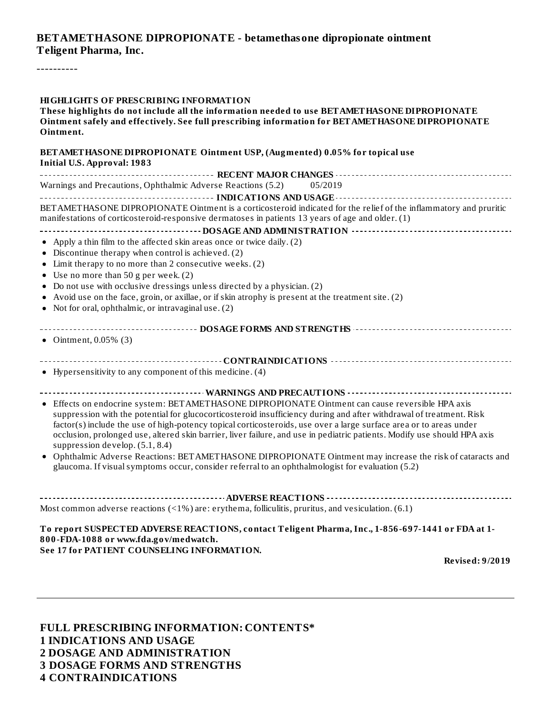#### **BETAMETHASONE DIPROPIONATE - betamethasone dipropionate ointment Teligent Pharma, Inc.**

----------

#### **HIGHLIGHTS OF PRESCRIBING INFORMATION These highlights do not include all the information needed to use BETAMETHASONE DIPROPIONATE**

**Ointment safely and effectively. See full prescribing information for BETAMETHASONE DIPROPIONATE Ointment.**

| BET AMETHASONE DIPROPIONATE Ointment USP, (Augmented) 0.05% for topical use<br><b>Initial U.S. Approval: 1983</b>                                                                                                                                                                                                                                                                                                                                                                                            |
|--------------------------------------------------------------------------------------------------------------------------------------------------------------------------------------------------------------------------------------------------------------------------------------------------------------------------------------------------------------------------------------------------------------------------------------------------------------------------------------------------------------|
|                                                                                                                                                                                                                                                                                                                                                                                                                                                                                                              |
| Warnings and Precautions, Ophthalmic Adverse Reactions (5.2)<br>05/2019                                                                                                                                                                                                                                                                                                                                                                                                                                      |
|                                                                                                                                                                                                                                                                                                                                                                                                                                                                                                              |
| BETAMETHASONE DIPROPIONATE Ointment is a corticosteroid indicated for the relief of the inflammatory and pruritic<br>manifestations of corticosteroid-responsive dermatoses in patients 13 years of age and older. (1)                                                                                                                                                                                                                                                                                       |
|                                                                                                                                                                                                                                                                                                                                                                                                                                                                                                              |
| • Apply a thin film to the affected skin areas once or twice daily. (2)                                                                                                                                                                                                                                                                                                                                                                                                                                      |
| • Discontinue therapy when control is achieved. (2)                                                                                                                                                                                                                                                                                                                                                                                                                                                          |
| • Limit therapy to no more than 2 consecutive weeks. (2)                                                                                                                                                                                                                                                                                                                                                                                                                                                     |
| • Use no more than 50 g per week. (2)                                                                                                                                                                                                                                                                                                                                                                                                                                                                        |
| • Do not use with occlusive dressings unless directed by a physician. (2)                                                                                                                                                                                                                                                                                                                                                                                                                                    |
| • Avoid use on the face, groin, or axillae, or if skin atrophy is present at the treatment site. (2)                                                                                                                                                                                                                                                                                                                                                                                                         |
| • Not for oral, ophthalmic, or intravaginal use. (2)                                                                                                                                                                                                                                                                                                                                                                                                                                                         |
| ------------------------------- DOSAGE FORMS AND STRENGTHS ----------------------------------<br>• Ointment, $0.05\%$ (3)                                                                                                                                                                                                                                                                                                                                                                                    |
|                                                                                                                                                                                                                                                                                                                                                                                                                                                                                                              |
| • Hypersensitivity to any component of this medicine. (4)                                                                                                                                                                                                                                                                                                                                                                                                                                                    |
|                                                                                                                                                                                                                                                                                                                                                                                                                                                                                                              |
| • Effects on endocrine system: BETAMETHASONE DIPROPIONATE Ointment can cause reversible HPA axis<br>suppression with the potential for glucocorticosteroid insufficiency during and after withdrawal of treatment. Risk<br>factor(s) include the use of high-potency topical corticosteroids, use over a large surface area or to areas under<br>occlusion, prolonged use, altered skin barrier, liver failure, and use in pediatric patients. Modify use should HPA axis<br>suppression develop. (5.1, 8.4) |
| • Ophthalmic Adverse Reactions: BET AMETHASONE DIPROPIONATE Ointment may increase the risk of cataracts and<br>glaucoma. If visual symptoms occur, consider referral to an ophthalmologist for evaluation (5.2)                                                                                                                                                                                                                                                                                              |
|                                                                                                                                                                                                                                                                                                                                                                                                                                                                                                              |
| Most common adverse reactions $($ <1%) are: erythema, folliculitis, pruritus, and vesiculation. $(6.1)$                                                                                                                                                                                                                                                                                                                                                                                                      |
| To report SUSPECTED ADVERSE REACTIONS, contact Teligent Pharma, Inc., 1-856-697-1441 or FDA at 1-<br>800-FDA-1088 or www.fda.gov/medwatch.<br>See 17 for PATIENT COUNSELING INFORMATION.                                                                                                                                                                                                                                                                                                                     |

**Revised: 9/2019**

**FULL PRESCRIBING INFORMATION: CONTENTS\* INDICATIONS AND USAGE DOSAGE AND ADMINISTRATION DOSAGE FORMS AND STRENGTHS CONTRAINDICATIONS**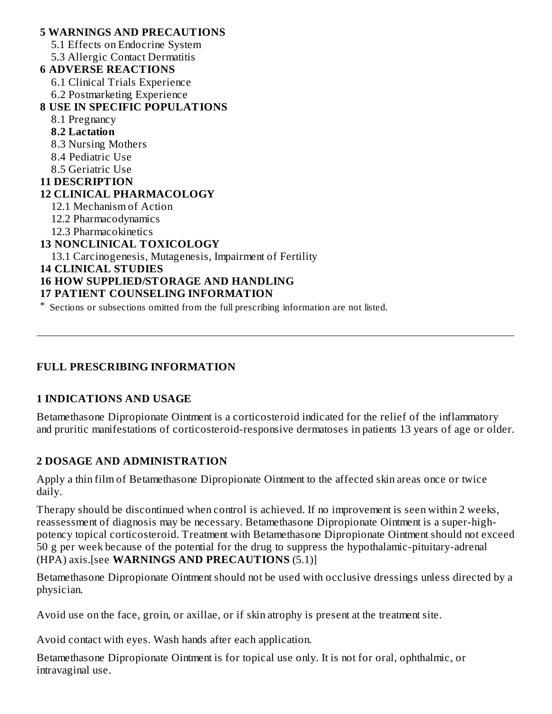**5 WARNINGS AND PRECAUTIONS** 5.1 Effects on Endocrine System 5.3 Allergic Contact Dermatitis **6 ADVERSE REACTIONS** 6.1 Clinical Trials Experience 6.2 Postmarketing Experience **8 USE IN SPECIFIC POPULATIONS** 8.1 Pregnancy **8.2 Lactation** 8.3 Nursing Mothers 8.4 Pediatric Use 8.5 Geriatric Use **11 DESCRIPTION 12 CLINICAL PHARMACOLOGY** 12.1 Mechanism of Action 12.2 Pharmacodynamics 12.3 Pharmacokinetics **13 NONCLINICAL TOXICOLOGY** 13.1 Carcinogenesis, Mutagenesis, Impairment of Fertility **14 CLINICAL STUDIES 16 HOW SUPPLIED/STORAGE AND HANDLING 17 PATIENT COUNSELING INFORMATION**

\* Sections or subsections omitted from the full prescribing information are not listed.

#### **FULL PRESCRIBING INFORMATION**

#### **1 INDICATIONS AND USAGE**

Betamethasone Dipropionate Ointment is a corticosteroid indicated for the relief of the inflammatory and pruritic manifestations of corticosteroid-responsive dermatoses in patients 13 years of age or older.

#### **2 DOSAGE AND ADMINISTRATION**

Apply a thin film of Betamethasone Dipropionate Ointment to the affected skin areas once or twice daily.

Therapy should be discontinued when control is achieved. If no improvement is seen within 2 weeks, reassessment of diagnosis may be necessary. Betamethasone Dipropionate Ointment is a super-highpotency topical corticosteroid. Treatment with Betamethasone Dipropionate Ointment should not exceed 50 g per week because of the potential for the drug to suppress the hypothalamic-pituitary-adrenal (HPA) axis.[see **WARNINGS AND PRECAUTIONS** (5.1)]

Betamethasone Dipropionate Ointment should not be used with occlusive dressings unless directed by a physician.

Avoid use on the face, groin, or axillae, or if skin atrophy is present at the treatment site.

Avoid contact with eyes. Wash hands after each application.

Betamethasone Dipropionate Ointment is for topical use only. It is not for oral, ophthalmic, or intravaginal use.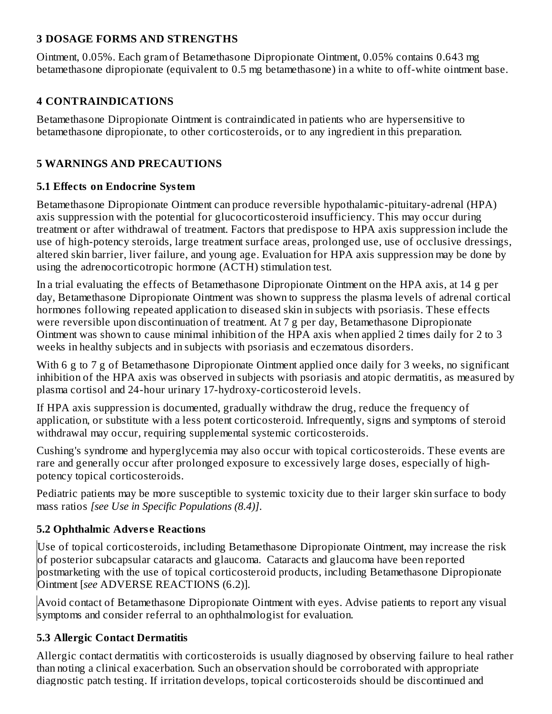#### **3 DOSAGE FORMS AND STRENGTHS**

Ointment, 0.05%. Each gram of Betamethasone Dipropionate Ointment, 0.05% contains 0.643 mg betamethasone dipropionate (equivalent to 0.5 mg betamethasone) in a white to off-white ointment base.

#### **4 CONTRAINDICATIONS**

Betamethasone Dipropionate Ointment is contraindicated in patients who are hypersensitive to betamethasone dipropionate, to other corticosteroids, or to any ingredient in this preparation.

### **5 WARNINGS AND PRECAUTIONS**

#### **5.1 Effects on Endocrine System**

Betamethasone Dipropionate Ointment can produce reversible hypothalamic-pituitary-adrenal (HPA) axis suppression with the potential for glucocorticosteroid insufficiency. This may occur during treatment or after withdrawal of treatment. Factors that predispose to HPA axis suppression include the use of high-potency steroids, large treatment surface areas, prolonged use, use of occlusive dressings, altered skin barrier, liver failure, and young age. Evaluation for HPA axis suppression may be done by using the adrenocorticotropic hormone (ACTH) stimulation test.

In a trial evaluating the effects of Betamethasone Dipropionate Ointment on the HPA axis, at 14 g per day, Betamethasone Dipropionate Ointment was shown to suppress the plasma levels of adrenal cortical hormones following repeated application to diseased skin in subjects with psoriasis. These effects were reversible upon discontinuation of treatment. At 7 g per day, Betamethasone Dipropionate Ointment was shown to cause minimal inhibition of the HPA axis when applied 2 times daily for 2 to 3 weeks in healthy subjects and in subjects with psoriasis and eczematous disorders.

With 6 g to 7 g of Betamethasone Dipropionate Ointment applied once daily for 3 weeks, no significant inhibition of the HPA axis was observed in subjects with psoriasis and atopic dermatitis, as measured by plasma cortisol and 24-hour urinary 17-hydroxy-corticosteroid levels.

If HPA axis suppression is documented, gradually withdraw the drug, reduce the frequency of application, or substitute with a less potent corticosteroid. Infrequently, signs and symptoms of steroid withdrawal may occur, requiring supplemental systemic corticosteroids.

Cushing's syndrome and hyperglycemia may also occur with topical corticosteroids. These events are rare and generally occur after prolonged exposure to excessively large doses, especially of highpotency topical corticosteroids.

Pediatric patients may be more susceptible to systemic toxicity due to their larger skin surface to body mass ratios *[see Use in Specific Populations (8.4)]*.

### **5.2 Ophthalmic Advers e Reactions**

Use of topical corticosteroids, including Betamethasone Dipropionate Ointment, may increase the risk of posterior subcapsular cataracts and glaucoma. Cataracts and glaucoma have been reported postmarketing with the use of topical corticosteroid products, including Betamethasone Dipropionate Ointment [*see* ADVERSE REACTIONS (6.2)].

Avoid contact of Betamethasone Dipropionate Ointment with eyes. Advise patients to report any visual symptoms and consider referral to an ophthalmologist for evaluation.

### **5.3 Allergic Contact Dermatitis**

Allergic contact dermatitis with corticosteroids is usually diagnosed by observing failure to heal rather than noting a clinical exacerbation. Such an observation should be corroborated with appropriate diagnostic patch testing. If irritation develops, topical corticosteroids should be discontinued and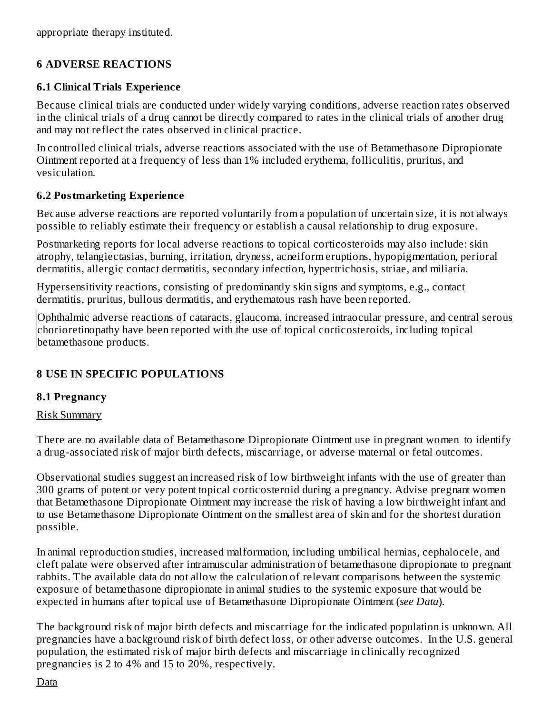appropriate therapy instituted.

### **6 ADVERSE REACTIONS**

#### **6.1 Clinical Trials Experience**

Because clinical trials are conducted under widely varying conditions, adverse reaction rates observed in the clinical trials of a drug cannot be directly compared to rates in the clinical trials of another drug and may not reflect the rates observed in clinical practice.

In controlled clinical trials, adverse reactions associated with the use of Betamethasone Dipropionate Ointment reported at a frequency of less than 1% included erythema, folliculitis, pruritus, and vesiculation.

#### **6.2 Postmarketing Experience**

Because adverse reactions are reported voluntarily from a population of uncertain size, it is not always possible to reliably estimate their frequency or establish a causal relationship to drug exposure.

Postmarketing reports for local adverse reactions to topical corticosteroids may also include: skin atrophy, telangiectasias, burning, irritation, dryness, acneiform eruptions, hypopigmentation, perioral dermatitis, allergic contact dermatitis, secondary infection, hypertrichosis, striae, and miliaria.

Hypersensitivity reactions, consisting of predominantly skin signs and symptoms, e.g., contact dermatitis, pruritus, bullous dermatitis, and erythematous rash have been reported.

Ophthalmic adverse reactions of cataracts, glaucoma, increased intraocular pressure, and central serous chorioretinopathy have been reported with the use of topical corticosteroids, including topical betamethasone products.

### **8 USE IN SPECIFIC POPULATIONS**

#### **8.1 Pregnancy**

#### Risk Summary

There are no available data of Betamethasone Dipropionate Ointment use in pregnant women to identify a drug-associated risk of major birth defects, miscarriage, or adverse maternal or fetal outcomes.

Observational studies suggest an increased risk of low birthweight infants with the use of greater than 300 grams of potent or very potent topical corticosteroid during a pregnancy. Advise pregnant women that Betamethasone Dipropionate Ointment may increase the risk of having a low birthweight infant and to use Betamethasone Dipropionate Ointment on the smallest area of skin and for the shortest duration possible.

In animal reproduction studies, increased malformation, including umbilical hernias, cephalocele, and cleft palate were observed after intramuscular administration of betamethasone dipropionate to pregnant rabbits. The available data do not allow the calculation of relevant comparisons between the systemic exposure of betamethasone dipropionate in animal studies to the systemic exposure that would be expected in humans after topical use of Betamethasone Dipropionate Ointment (*see Data*).

The background risk of major birth defects and miscarriage for the indicated population is unknown. All pregnancies have a background risk of birth defect loss, or other adverse outcomes. In the U.S. general population, the estimated risk of major birth defects and miscarriage in clinically recognized pregnancies is 2 to 4% and 15 to 20%, respectively.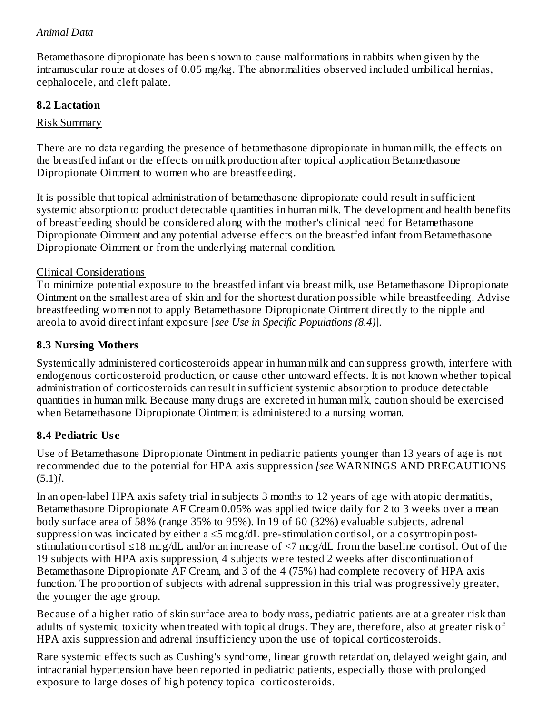### *Animal Data*

Betamethasone dipropionate has been shown to cause malformations in rabbits when given by the intramuscular route at doses of 0.05 mg/kg. The abnormalities observed included umbilical hernias, cephalocele, and cleft palate.

#### **8.2 Lactation**

#### Risk Summary

There are no data regarding the presence of betamethasone dipropionate in human milk, the effects on the breastfed infant or the effects on milk production after topical application Betamethasone Dipropionate Ointment to women who are breastfeeding.

It is possible that topical administration of betamethasone dipropionate could result in sufficient systemic absorption to product detectable quantities in human milk. The development and health benefits of breastfeeding should be considered along with the mother's clinical need for Betamethasone Dipropionate Ointment and any potential adverse effects on the breastfed infant from Betamethasone Dipropionate Ointment or from the underlying maternal condition.

#### Clinical Considerations

To minimize potential exposure to the breastfed infant via breast milk, use Betamethasone Dipropionate Ointment on the smallest area of skin and for the shortest duration possible while breastfeeding. Advise breastfeeding women not to apply Betamethasone Dipropionate Ointment directly to the nipple and areola to avoid direct infant exposure [*see Use in Specific Populations (8.4)*].

#### **8.3 Nursing Mothers**

Systemically administered corticosteroids appear in human milk and can suppress growth, interfere with endogenous corticosteroid production, or cause other untoward effects. It is not known whether topical administration of corticosteroids can result in sufficient systemic absorption to produce detectable quantities in human milk. Because many drugs are excreted in human milk, caution should be exercised when Betamethasone Dipropionate Ointment is administered to a nursing woman.

#### **8.4 Pediatric Us e**

Use of Betamethasone Dipropionate Ointment in pediatric patients younger than 13 years of age is not recommended due to the potential for HPA axis suppression *[see* WARNINGS AND PRECAUTIONS (5.1)*]*.

In an open-label HPA axis safety trial in subjects 3 months to 12 years of age with atopic dermatitis, Betamethasone Dipropionate AF Cream 0.05% was applied twice daily for 2 to 3 weeks over a mean body surface area of 58% (range 35% to 95%). In 19 of 60 (32%) evaluable subjects, adrenal suppression was indicated by either a ≤5 mcg/dL pre-stimulation cortisol, or a cosyntropin poststimulation cortisol ≤18 mcg/dL and/or an increase of <7 mcg/dL from the baseline cortisol. Out of the 19 subjects with HPA axis suppression, 4 subjects were tested 2 weeks after discontinuation of Betamethasone Dipropionate AF Cream, and 3 of the 4 (75%) had complete recovery of HPA axis function. The proportion of subjects with adrenal suppression in this trial was progressively greater, the younger the age group.

Because of a higher ratio of skin surface area to body mass, pediatric patients are at a greater risk than adults of systemic toxicity when treated with topical drugs. They are, therefore, also at greater risk of HPA axis suppression and adrenal insufficiency upon the use of topical corticosteroids.

Rare systemic effects such as Cushing's syndrome, linear growth retardation, delayed weight gain, and intracranial hypertension have been reported in pediatric patients, especially those with prolonged exposure to large doses of high potency topical corticosteroids.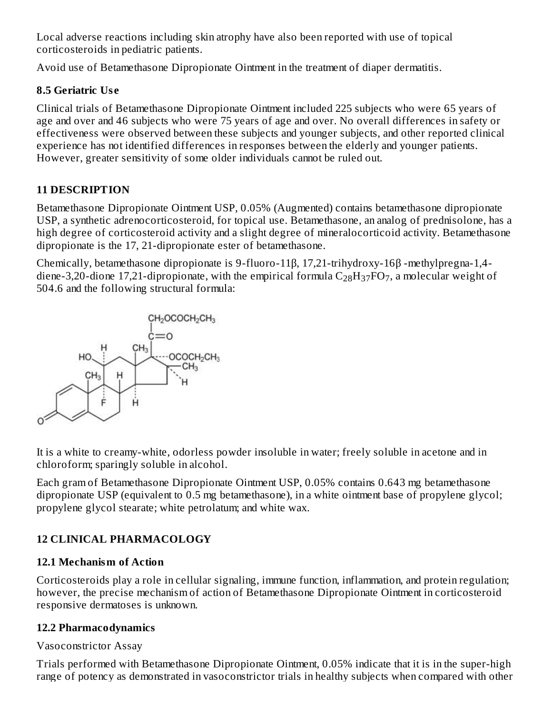Local adverse reactions including skin atrophy have also been reported with use of topical corticosteroids in pediatric patients.

Avoid use of Betamethasone Dipropionate Ointment in the treatment of diaper dermatitis.

### **8.5 Geriatric Us e**

Clinical trials of Betamethasone Dipropionate Ointment included 225 subjects who were 65 years of age and over and 46 subjects who were 75 years of age and over. No overall differences in safety or effectiveness were observed between these subjects and younger subjects, and other reported clinical experience has not identified differences in responses between the elderly and younger patients. However, greater sensitivity of some older individuals cannot be ruled out.

### **11 DESCRIPTION**

Betamethasone Dipropionate Ointment USP, 0.05% (Augmented) contains betamethasone dipropionate USP, a synthetic adrenocorticosteroid, for topical use. Betamethasone, an analog of prednisolone, has a high degree of corticosteroid activity and a slight degree of mineralocorticoid activity. Betamethasone dipropionate is the 17, 21-dipropionate ester of betamethasone.

Chemically, betamethasone dipropionate is 9-fluoro-11β, 17,21-trihydroxy-16β -methylpregna-1,4 diene-3,20-dione 17,21-dipropionate, with the empirical formula  $\rm{C_{28}H_{37}FO_{7}}$ , a molecular weight of 504.6 and the following structural formula:



It is a white to creamy-white, odorless powder insoluble in water; freely soluble in acetone and in chloroform; sparingly soluble in alcohol.

Each gram of Betamethasone Dipropionate Ointment USP, 0.05% contains 0.643 mg betamethasone dipropionate USP (equivalent to 0.5 mg betamethasone), in a white ointment base of propylene glycol; propylene glycol stearate; white petrolatum; and white wax.

### **12 CLINICAL PHARMACOLOGY**

#### **12.1 Mechanism of Action**

Corticosteroids play a role in cellular signaling, immune function, inflammation, and protein regulation; however, the precise mechanism of action of Betamethasone Dipropionate Ointment in corticosteroid responsive dermatoses is unknown.

### **12.2 Pharmacodynamics**

### Vasoconstrictor Assay

Trials performed with Betamethasone Dipropionate Ointment, 0.05% indicate that it is in the super-high range of potency as demonstrated in vasoconstrictor trials in healthy subjects when compared with other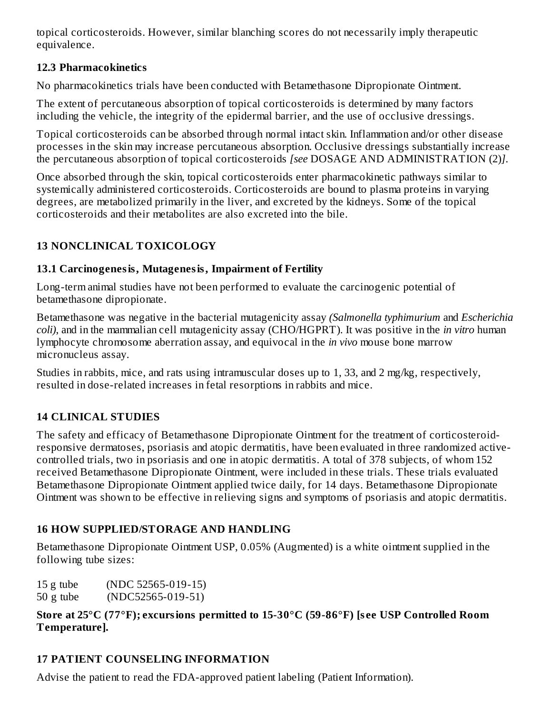topical corticosteroids. However, similar blanching scores do not necessarily imply therapeutic equivalence.

### **12.3 Pharmacokinetics**

No pharmacokinetics trials have been conducted with Betamethasone Dipropionate Ointment.

The extent of percutaneous absorption of topical corticosteroids is determined by many factors including the vehicle, the integrity of the epidermal barrier, and the use of occlusive dressings.

Topical corticosteroids can be absorbed through normal intact skin. Inflammation and/or other disease processes in the skin may increase percutaneous absorption. Occlusive dressings substantially increase the percutaneous absorption of topical corticosteroids *[see* DOSAGE AND ADMINISTRATION (2)*]*.

Once absorbed through the skin, topical corticosteroids enter pharmacokinetic pathways similar to systemically administered corticosteroids. Corticosteroids are bound to plasma proteins in varying degrees, are metabolized primarily in the liver, and excreted by the kidneys. Some of the topical corticosteroids and their metabolites are also excreted into the bile.

# **13 NONCLINICAL TOXICOLOGY**

### **13.1 Carcinogenesis, Mutagenesis, Impairment of Fertility**

Long-term animal studies have not been performed to evaluate the carcinogenic potential of betamethasone dipropionate.

Betamethasone was negative in the bacterial mutagenicity assay *(Salmonella typhimurium* and *Escherichia coli)*, and in the mammalian cell mutagenicity assay (CHO/HGPRT). It was positive in the *in vitro* human lymphocyte chromosome aberration assay, and equivocal in the *in vivo* mouse bone marrow micronucleus assay.

Studies in rabbits, mice, and rats using intramuscular doses up to 1, 33, and 2 mg/kg, respectively, resulted in dose-related increases in fetal resorptions in rabbits and mice.

# **14 CLINICAL STUDIES**

The safety and efficacy of Betamethasone Dipropionate Ointment for the treatment of corticosteroidresponsive dermatoses, psoriasis and atopic dermatitis, have been evaluated in three randomized activecontrolled trials, two in psoriasis and one in atopic dermatitis. A total of 378 subjects, of whom 152 received Betamethasone Dipropionate Ointment, were included in these trials. These trials evaluated Betamethasone Dipropionate Ointment applied twice daily, for 14 days. Betamethasone Dipropionate Ointment was shown to be effective in relieving signs and symptoms of psoriasis and atopic dermatitis.

### **16 HOW SUPPLIED/STORAGE AND HANDLING**

Betamethasone Dipropionate Ointment USP, 0.05% (Augmented) is a white ointment supplied in the following tube sizes:

15 g tube (NDC 52565-019-15) 50 g tube (NDC52565-019-51)

### **Store at 25°C (77°F); excursions permitted to 15-30°C (59-86°F) [s ee USP Controlled Room Temperature].**

# **17 PATIENT COUNSELING INFORMATION**

Advise the patient to read the FDA-approved patient labeling (Patient Information).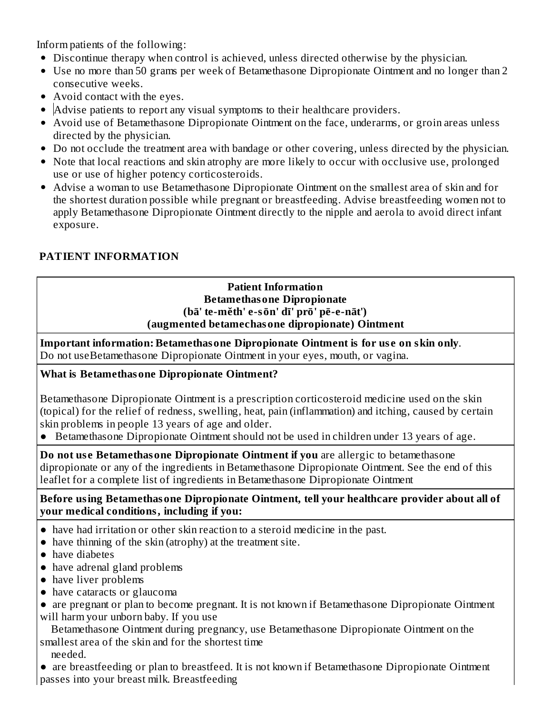Inform patients of the following:

- Discontinue therapy when control is achieved, unless directed otherwise by the physician.
- Use no more than 50 grams per week of Betamethasone Dipropionate Ointment and no longer than 2 consecutive weeks.
- Avoid contact with the eyes.
- Advise patients to report any visual symptoms to their healthcare providers.
- Avoid use of Betamethasone Dipropionate Ointment on the face, underarms, or groin areas unless directed by the physician.
- Do not occlude the treatment area with bandage or other covering, unless directed by the physician.
- Note that local reactions and skin atrophy are more likely to occur with occlusive use, prolonged use or use of higher potency corticosteroids.
- Advise a woman to use Betamethasone Dipropionate Ointment on the smallest area of skin and for the shortest duration possible while pregnant or breastfeeding. Advise breastfeeding women not to apply Betamethasone Dipropionate Ointment directly to the nipple and aerola to avoid direct infant exposure.

## **PATIENT INFORMATION**

#### **Patient Information Betamethasone Dipropionate (bā' te-mĕth' e-sōn' dī' prō' pē-e-nāt') (augmented betamechasone dipropionate) Ointment**

**Important information: Betamethasone Dipropionate Ointment is for us e on skin only**. Do not useBetamethasone Dipropionate Ointment in your eyes, mouth, or vagina.

### **What is Betamethasone Dipropionate Ointment?**

Betamethasone Dipropionate Ointment is a prescription corticosteroid medicine used on the skin (topical) for the relief of redness, swelling, heat, pain (inflammation) and itching, caused by certain skin problems in people 13 years of age and older.

● Betamethasone Dipropionate Ointment should not be used in children under 13 years of age.

**Do not us e Betamethasone Dipropionate Ointment if you** are allergic to betamethasone dipropionate or any of the ingredients in Betamethasone Dipropionate Ointment. See the end of this leaflet for a complete list of ingredients in Betamethasone Dipropionate Ointment

#### **Before using Betamethasone Dipropionate Ointment, tell your healthcare provider about all of your medical conditions, including if you:**

- have had irritation or other skin reaction to a steroid medicine in the past.
- have thinning of the skin (atrophy) at the treatment site.
- have diabetes
- have adrenal gland problems
- have liver problems
- have cataracts or glaucoma

• are pregnant or plan to become pregnant. It is not known if Betamethasone Dipropionate Ointment will harm your unborn baby. If you use

Betamethasone Ointment during pregnancy, use Betamethasone Dipropionate Ointment on the smallest area of the skin and for the shortest time

needed.

● are breastfeeding or plan to breastfeed. It is not known if Betamethasone Dipropionate Ointment passes into your breast milk. Breastfeeding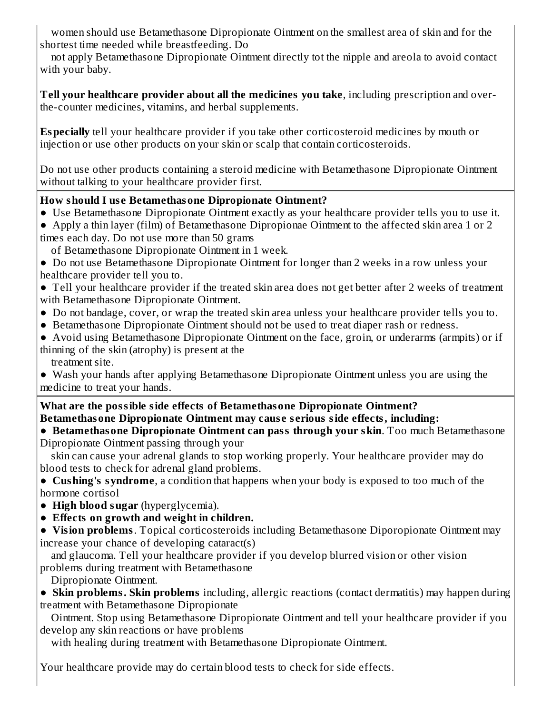women should use Betamethasone Dipropionate Ointment on the smallest area of skin and for the shortest time needed while breastfeeding. Do

not apply Betamethasone Dipropionate Ointment directly tot the nipple and areola to avoid contact with your baby.

**Tell your healthcare provider about all the medicines you take**, including prescription and overthe-counter medicines, vitamins, and herbal supplements.

**Especially** tell your healthcare provider if you take other corticosteroid medicines by mouth or injection or use other products on your skin or scalp that contain corticosteroids.

Do not use other products containing a steroid medicine with Betamethasone Dipropionate Ointment without talking to your healthcare provider first.

### **How should I us e Betamethasone Dipropionate Ointment?**

- **●** Use Betamethasone Dipropionate Ointment exactly as your healthcare provider tells you to use it.
- Apply a thin layer (film) of Betamethasone Dipropionae Ointment to the affected skin area 1 or 2 times each day. Do not use more than 50 grams
- of Betamethasone Dipropionate Ointment in 1 week.

● Do not use Betamethasone Dipropionate Ointment for longer than 2 weeks in a row unless your healthcare provider tell you to.

● Tell your healthcare provider if the treated skin area does not get better after 2 weeks of treatment with Betamethasone Dipropionate Ointment.

- Do not bandage, cover, or wrap the treated skin area unless your healthcare provider tells you to.
- Betamethasone Dipropionate Ointment should not be used to treat diaper rash or redness.

● Avoid using Betamethasone Dipropionate Ointment on the face, groin, or underarms (armpits) or if thinning of the skin (atrophy) is present at the treatment site.

● Wash your hands after applying Betamethasone Dipropionate Ointment unless you are using the medicine to treat your hands.

**What are the possible side effects of Betamethasone Dipropionate Ointment? Betamethasone Dipropionate Ointment may caus e s erious side effects, including:**

**● Betamethasone Dipropionate Ointment can pass through your skin**. Too much Betamethasone Dipropionate Ointment passing through your

skin can cause your adrenal glands to stop working properly. Your healthcare provider may do blood tests to check for adrenal gland problems.

**● Cushing's syndrome**, a condition that happens when your body is exposed to too much of the hormone cortisol

**● High blood sugar** (hyperglycemia).

**● Effects on growth and weight in children.**

**● Vision problems**. Topical corticosteroids including Betamethasone Diporopionate Ointment may increase your chance of developing cataract(s)

and glaucoma. Tell your healthcare provider if you develop blurred vision or other vision problems during treatment with Betamethasone

Dipropionate Ointment.

**● Skin problems. Skin problems** including, allergic reactions (contact dermatitis) may happen during treatment with Betamethasone Dipropionate

Ointment. Stop using Betamethasone Dipropionate Ointment and tell your healthcare provider if you develop any skin reactions or have problems

with healing during treatment with Betamethasone Dipropionate Ointment.

Your healthcare provide may do certain blood tests to check for side effects.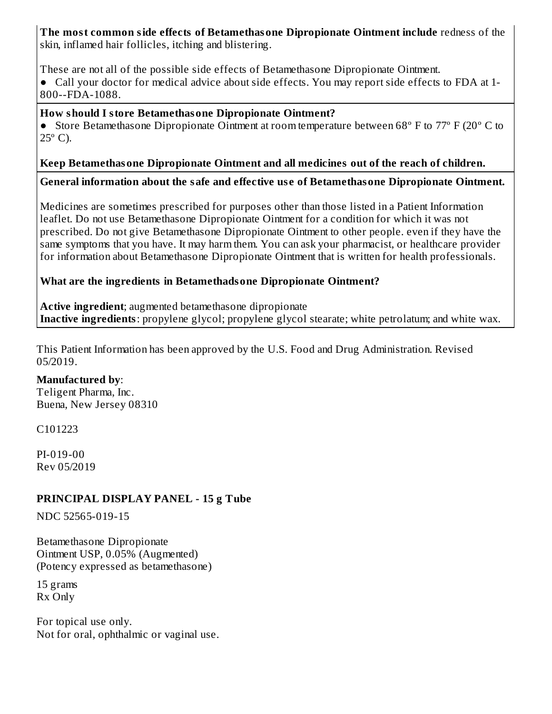# **The most common side effects of Betamethasone Dipropionate Ointment include** redness of the

skin, inflamed hair follicles, itching and blistering.

These are not all of the possible side effects of Betamethasone Dipropionate Ointment.

● Call your doctor for medical advice about side effects. You may report side effects to FDA at 1- 800--FDA-1088.

#### **How should I store Betamethasone Dipropionate Ointment?**

● Store Betamethasone Dipropionate Ointment at room temperature between 68º F to 77º F (20º C to  $25^{\circ}$  C).

### **Keep Betamethasone Dipropionate Ointment and all medicines out of the reach of children.**

**General information about the safe and effective us e of Betamethasone Dipropionate Ointment.**

Medicines are sometimes prescribed for purposes other than those listed in a Patient Information leaflet. Do not use Betamethasone Dipropionate Ointment for a condition for which it was not prescribed. Do not give Betamethasone Dipropionate Ointment to other people. even if they have the same symptoms that you have. It may harm them. You can ask your pharmacist, or healthcare provider for information about Betamethasone Dipropionate Ointment that is written for health professionals.

### **What are the ingredients in Betamethadsone Dipropionate Ointment?**

**Active ingredient**; augmented betamethasone dipropionate **Inactive ingredients**: propylene glycol; propylene glycol stearate; white petrolatum; and white wax.

This Patient Information has been approved by the U.S. Food and Drug Administration. Revised 05/2019.

#### **Manufactured by**:

Teligent Pharma, Inc. Buena, New Jersey 08310

C101223

PI-019-00 Rev 05/2019

### **PRINCIPAL DISPLAY PANEL - 15 g Tube**

NDC 52565-019-15

Betamethasone Dipropionate Ointment USP, 0.05% (Augmented) (Potency expressed as betamethasone)

15 grams Rx Only

For topical use only. Not for oral, ophthalmic or vaginal use.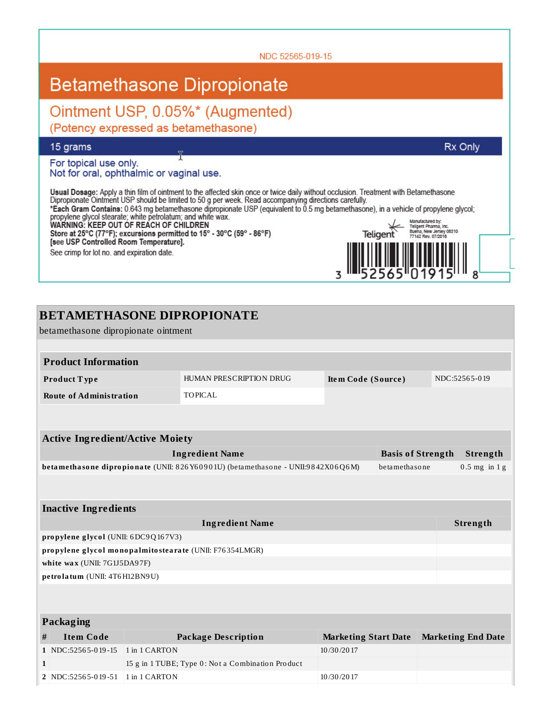NDC 52565-019-15 **Betamethasone Dipropionate** Ointment USP, 0.05%\* (Augmented) (Potency expressed as betamethasone) 15 grams Rx Only For topical use only. Not for oral, ophthalmic or vaginal use. Usual Dosage: Apply a thin film of ointment to the affected skin once or twice daily without occlusion. Treatment with Betamethasone<br>Dipropionate Ointment USP should be limited to 50 g per week. Read accompanying direction Manufactured by:<br>Teigent Pharma, Inc.<br>Buena, New Jersey 08310<br>77142 Rev. 07/2018 Teligent Store at 25°C (77°F); excursions permitted to 15° - 30°C (59° - 86°F)<br>[see USP Controlled Room Temperature]. See crimp for lot no. and expiration date. 3 8

| <b>BETAMETHASONE DIPROPIONATE</b>                                                                 |               |                                                   |                             |  |                 |                           |  |  |
|---------------------------------------------------------------------------------------------------|---------------|---------------------------------------------------|-----------------------------|--|-----------------|---------------------------|--|--|
| betamethasone dipropionate ointment                                                               |               |                                                   |                             |  |                 |                           |  |  |
|                                                                                                   |               |                                                   |                             |  |                 |                           |  |  |
| <b>Product Information</b>                                                                        |               |                                                   |                             |  |                 |                           |  |  |
| Product Type                                                                                      |               | HUMAN PRESCRIPTION DRUG                           | Item Code (Source)          |  |                 | NDC:52565-019             |  |  |
| <b>Route of Administration</b>                                                                    |               | <b>TOPICAL</b>                                    |                             |  |                 |                           |  |  |
|                                                                                                   |               |                                                   |                             |  |                 |                           |  |  |
|                                                                                                   |               |                                                   |                             |  |                 |                           |  |  |
| <b>Active Ingredient/Active Moiety</b>                                                            |               |                                                   |                             |  |                 |                           |  |  |
| <b>Ingredient Name</b><br><b>Basis of Strength</b>                                                |               |                                                   |                             |  | Strength        |                           |  |  |
| betamethasone dipropionate (UNII: 826 Y60901U) (betamethasone - UNII:9842X06Q6M)<br>betamethasone |               |                                                   |                             |  | $0.5$ mg in 1 g |                           |  |  |
|                                                                                                   |               |                                                   |                             |  |                 |                           |  |  |
|                                                                                                   |               |                                                   |                             |  |                 |                           |  |  |
| <b>Inactive Ingredients</b>                                                                       |               |                                                   |                             |  |                 |                           |  |  |
| <b>Ingredient Name</b>                                                                            |               |                                                   |                             |  | Strength        |                           |  |  |
| propylene glycol (UNII: 6DC9Q167V3)                                                               |               |                                                   |                             |  |                 |                           |  |  |
| propylene glycol monopalmitostearate (UNII: F76354LMGR)                                           |               |                                                   |                             |  |                 |                           |  |  |
| white wax (UNII: 7G1J5DA97F)                                                                      |               |                                                   |                             |  |                 |                           |  |  |
| petrolatum (UNII: 4T6H12BN9U)                                                                     |               |                                                   |                             |  |                 |                           |  |  |
|                                                                                                   |               |                                                   |                             |  |                 |                           |  |  |
|                                                                                                   |               |                                                   |                             |  |                 |                           |  |  |
| Packaging                                                                                         |               |                                                   |                             |  |                 |                           |  |  |
| <b>Item Code</b><br>#                                                                             |               | <b>Package Description</b>                        | <b>Marketing Start Date</b> |  |                 | <b>Marketing End Date</b> |  |  |
| 1 NDC:52565-019-15                                                                                | 1 in 1 CARTON |                                                   | 10/30/2017                  |  |                 |                           |  |  |
| $\mathbf{1}$                                                                                      |               | 15 g in 1 TUBE; Type 0: Not a Combination Product |                             |  |                 |                           |  |  |
|                                                                                                   |               |                                                   |                             |  |                 |                           |  |  |